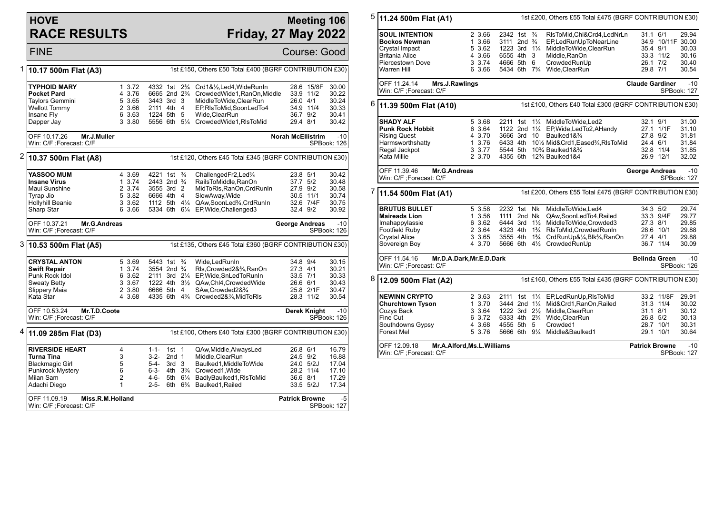## **HOVE RACE RESULTS**

## **Meeting 106 Friday, 27 May 2022**

FINE Course: Good 1 **10.17 500m Flat (A3)** 1st £150, Others £50 Total £400 (BGRF CONTRIBUTION £30) **TYPHOID MARY** 1 3.72 4332 1st 2<sup>3</sup>/<sub>4</sub> Crd1&<sup>1</sup>/<sub>2</sub>,Led4,WideRunIn 28.6 15/8F 30.00<br>Pocket Pard 1 3.76 6665 2nd 2<sup>3</sup>/<sub>4</sub> CrowdedWide1.RanOn.Middle 33.9 11/2 30.22 **Pocket Pard** 4 3.76 6665 2nd 2<sup>3</sup>/<sub>4</sub> CrowdedWide1,RanOn,Middle 33.9 11/2 30.22<br>Taylors Gemmini 5 3.65 3443 3rd 3 MiddleToWide.ClearRun 26.0 4/1 30.24 Taylors Gemmini 5 3.65 3443 3rd 3 MiddleToWide, ClearRun 26.0 4/1 30.24<br>Wellott Tommy 2 3.66 2111 4th 4 EP.RIsToMid.SoonLedTo4 34.9 11/4 30.33 2 3.66 2111 4th 4 EP,RIsToMid,SoonLedTo4 Insane Fly 6 3.63 1224 5th 5 Wide,ClearRun 36.7 9/2 30.41  $3.3.80$  5556 6th 5¼ CrowdedWide1,RlsToMid OFF 10.17.26 **Mr.J.Muller** Win: C/F ;Forecast: C/F **Norah McEllistrim** -10 SPBook: 126 2 **10.37 500m Flat (A8)** 1st £120, Others £45 Total £345 (BGRF CONTRIBUTION £30) **YASSOO MUM** 4 3.69 4221 1st ¾ ChallengedFr2,Led¾ 23.8 5/1 30.42<br> **Insane Virus** 1 3.74 2443 2nd ¾ RailsToMiddle.RanOn 37.7 5/2 30.48 **Insane Virus** 1 3.74 2443 2nd ¾ RailsToMiddle,RanOn 37.7 5/2 30.48<br>Maui Sunshine 2 3.74 3555 3rd 2 MidToRls.RanOn.CrdRunIn 27.9 9/2 30.58 2 3.74 3555 3rd 2 MidToRls, RanOn, CrdRunIn Tyrap Jio 5 3.82 6666 4th 4 SlowAway,Wide 30.5 11/1 30.74 Hollyhill Beanie 3 3.62 1112 5th 4¼ QAw,SoonLed¾,CrdRunIn 32.6 7/4F 30.75 5334 6th 61/4 EP, Wide, Challenged3 OFF 10.37.21 **Mr.G.Andreas** Win: C/F ;Forecast: C/F **George Andreas** -10 SPBook: 126 3 **10.53 500m Flat (A5)** 1st £135, Others £45 Total £360 (BGRF CONTRIBUTION £30) **CRYSTAL ANTON** 5 3.69 5443 1st ¾ Wide,LedRunIn 34.8 9/4 30.15<br> **Swift Repair** 1 3.74 3554 2nd ¾ RIs.Crowded2&¾RanOn 27.3 4/1 30.21 **Swift Repair** 1 3.74 3554 2nd ¾ Rls,Crowded2&¾,RanOn 27.3 4/1 30.21<br>Punk Rock Idol 6 3.62 2111 3rd 2¼ EP,Wide,SnLedToRunIn 33.5 7/1 30.33 Punk Rock Idol 6 3.62 2111 3rd 2¼ EP,Wide,SnLedToRunIn 33.5 7/1 30.33 Sweaty Betty 3 3.67 1222 4th 3½ QAw,Chl4,CrowdedWide 26.6 6/1 30.43 Slippery Maia 2 3.80 6666 5th 4 SAw,Crowded2&¾ 25.8 2/1F 30.47 4335 6th 4% Crowded2&%,MidToRls OFF 10.53.24 **Mr.T.D.Coote** Win: C/F ;Forecast: C/F **Derek Knight** -10 SPBook: 126 4 **11.09 285m Flat (D3)** 1st £100, Others £40 Total £300 (BGRF CONTRIBUTION £30) **RIVERSIDE HEART** 4 1-1- 1st 1 QAw, Middle, AlwaysLed 26.8 6/1 16.79<br>**Turna Tina** 11-1- 13 3-2- 2nd 1 Middle. Clear Run 24.5 9/2 16.88 **Turna Tina** 3 3-2- 2nd 1 Middle,ClearRun 24.5 9/2 16.88 Blackmagic Girl 5 5-4- 3rd 3 Baulked1,MiddleToWide 24.0 5/2J 17.04 Punkrock Mystery 6 6-3- 4th 3¾ Crowded1,Wide 28.2 11/4 17.10 Milan Sam 2 4-6- 5th 61/4 BadlyBaulked1,RIsToMid 36.6 8/1<br>Adachi Diego 1 2-5- 6th 6<sup>3</sup>/4 Baulked1,Railed 33.5 5/2J 1 2-5- 6th 6<sup>3</sup>/<sub>4</sub> Baulked1.Railed 33.5 5/2J 17.34 OFF 11.09.19 **Miss.R.M.Holland** Win: C/F ;Forecast: C/F **Patrick Browne** -5 SPBook: 127 5 **11.24 500m Flat (A1)** 1st £200, Others £55 Total £475 (BGRF CONTRIBUTION £30) **SOUL INTENTION** 2 3.66 2342 1st ¾ RIsToMid,Chl&Crd4,LedNrLn 31.1 6/1 29.94<br>**Bockos Newman** 1 3.66 3111 2nd ¾ EPLedRunUpToNearLine 34.9 10/11F 30.00 **Bockos Newman** 1 3.66 3111 2nd ¾ EP,LedRunUpToNearLine 34.9 10/11F 30.00 Crystal Impact 5 3.62 1223 3rd 11/4 MiddleToWide, ClearRun 35.4 9/1 30.03<br>Britania Alice 4 3.66 6555 4th 3 Middle RanOn 33.3 11/2 30.16 Britania Alice 4 3.66 6555 4th 3 Middle,RanOn 33.3 11/2 30.16 Piercestown Dove 3 3.74 4666 5th 6 CrowdedRunUp 26.1 7/2 30.40 6 3.66 5434 6th  $7\frac{3}{4}$  Wide, ClearRun 29.8 7/1 OFF 11.24.14 **Mrs.J.Rawlings** Win: C/F ;Forecast: C/F **Claude Gardiner** -10 SPBook: 127 6 **11.39 500m Flat (A10)** 1st £100, Others £40 Total £300 (BGRF CONTRIBUTION £30) **SHADY ALF** 5 3.68 2211 1st 1<sup>1</sup>/<sub>4</sub> MiddleToWide,Led2 32.1 9/1 31.00<br>**Punk Rock Hobbit** 6 3.64 1122 2nd 1<sup>1</sup>/<sub>4</sub> EP,Wide,LedTo2,AHandy 27.1 1/1F 31.10 **Punk Rock Hobbit** 6 3.64 1122 2nd 1<sup>1</sup>/<sub>4</sub> EP, Wide, LedTo2, A Handy 27.1 1/1F 31.10<br>Rising Quest 4 3.70 3666 3rd 10 Baulked1&<sup>3</sup>/<sub>4</sub> 27.8 9/2 31.81 Rising Quest 4 3.70 3666 3rd 10 Baulked1&¾ 27.8 9/2 31.81 Harmsworthshatty 1 3.76 6433 4th 10½ Mid&Crd1,Eased¾,RlsToMid 24.4 6/1 31.84 Regal Jackpot 3 3.77 5544 5th 10¾ Baulked1&¾<br>Kata Millie 3 3.70 4355 6th 12¾ Baulked1&4 2 3.70 4355 6th 12<sup>3</sup>/<sub>4</sub> Baulked1&4 26.9 12/1 32.02 OFF 11.39.46 **Mr.G.Andreas** Win: C/F ;Forecast: C/F **George Andreas** -10 SPBook: 127 7 **11.54 500m Flat (A1)** 1st £200, Others £55 Total £475 (BGRF CONTRIBUTION £30) **BRUTUS BULLET** 5 3.58 2232 1st Nk MiddleToWide,Led4 34.3 5/2 29.74<br>**Maireads Lion** 1 3.56 1111 2nd Nk QAw SoonledTo4 Railed 33.3 9/4F 29.77 **Maireads Lion** 1 3.56 1111 2nd Nk QAw,SoonLedTo4,Railed 33.3 9/4<br>1 Imahappylassie 6 3.62 6444 3rd 1½ MiddleToWide.Crowded3 27.3 8/1 Imahappylassie 6 3.62 6444 3rd 1½ MiddleToWide,Crowded3 27.3 8/1 29.85 Footfield Ruby 2 3.64 4323 4th 1¾ RlsToMid,CrowdedRunIn 28.6 10/1 29.88 Crystal Alice 3 3.65 3555 4th 1¾ CrdRunUp&¼,Blk¾,RanOn 27.4 4/1 29.88 4 3.70 5666 6th 41/2 CrowdedRunUp OFF 11.54.16 **Mr.D.A.Dark,Mr.E.D.Dark** Win: C/F ;Forecast: C/F **Belinda Green** -10 SPBook: 126 8 **12.09 500m Flat (A2)** 1st £160, Others £55 Total £435 (BGRF CONTRIBUTION £30) **NEWINN CRYPTO** 2 3.63 2111 1st 11/<sub>4</sub> EP,LedRunUp,RIsToMid 33.2 11/8F 29.91<br>Churchtown Tvson 1 3.70 3444 2nd 11/<sub>4</sub> Mid&Crd1.RanOn,Railed 31.3 11/4 30.02 **Churchtown Tyson** 1 3.70 3444 2nd 1¼ Mid&Crd1,RanOn,Railed 31.3 11/4 30.02 Cozys Back 3 3.64 1222 3rd 2½ Middle,ClearRun 31.1 8/1 30.12 Fine Cut 6 3.72 6333 4th 2¾ Wide,ClearRun 26.8 5/2 30.13 Southdowns Gypsy 4 3.68 4555 5th 5 Crowded1 28.7 10/1<br>Forest Mel 5 3.76 5666 6th 9¼ Middle&Baulked1 29.1 10/1 Forest Mel 5 3.76 5666 6th 9¼ Middle&Baulked1 29.1 10/1 30.64 OFF 12.09.18 **Mr.A.Alford,Ms.L.Williams** Win: C/F ;Forecast: C/F **Patrick Browne** -10 SPBook: 127